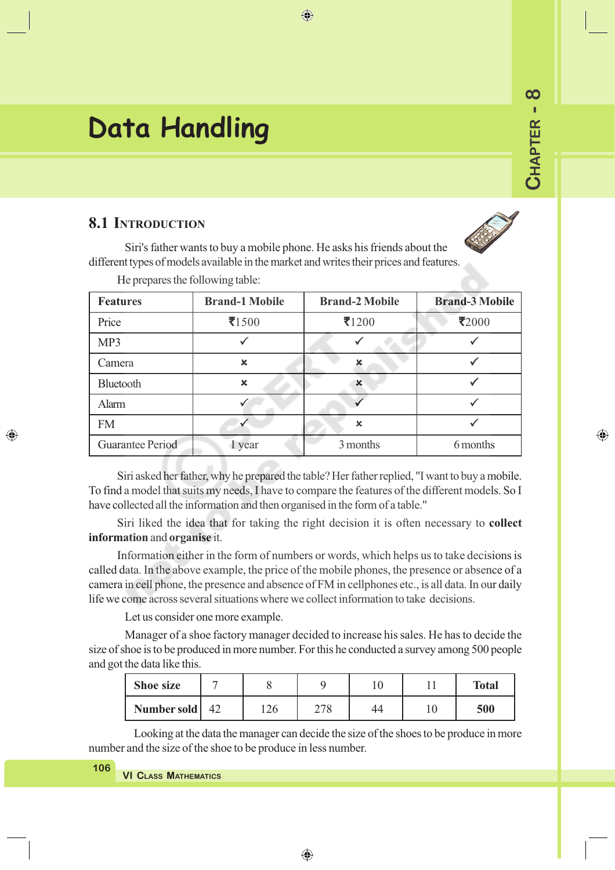# **Data Handling**

# **8.1 INTRODUCTION**

**CHAPTER - 8**

CHAPTER -

⊕

 $\infty$ 

Siri's father wants to buy a mobile phone. He asks his friends about the different types of models available in the market and writes their prices and features.

| $114$ properties and referent in $m_{\overline{p}}$ exerci- |                       |                           |                       |
|-------------------------------------------------------------|-----------------------|---------------------------|-----------------------|
| <b>Features</b>                                             | <b>Brand-1 Mobile</b> | <b>Brand-2 Mobile</b>     | <b>Brand-3 Mobile</b> |
| Price                                                       | $\bar{5}1500$         | $\bar{z}$ 1200            | $\mathbf{z}_{2000}$   |
| MP3                                                         |                       |                           |                       |
| Camera                                                      | $\mathbf x$           | $\boldsymbol{\mathsf{x}}$ |                       |
| Bluetooth                                                   | $\mathbf x$           | $\mathbf x$               |                       |
| Alarm                                                       |                       |                           |                       |
| <b>FM</b>                                                   |                       | $\mathbf x$               |                       |
| Guarantee Period                                            | 1 year                | 3 months                  | 6 months              |

 $\bigoplus$ 

He prepares the following table:

Siri asked her father, why he prepared the table? Her father replied, "I want to buy a mobile. To find a model that suits my needs, I have to compare the features of the different models. So I have collected all the information and then organised in the form of a table."

Siri liked the idea that for taking the right decision it is often necessary to **collect information** and **organise** it.

Information either in the form of numbers or words, which helps us to take decisions is called data. In the above example, the price of the mobile phones, the presence or absence of a camera in cell phone, the presence and absence of FM in cellphones etc., is all data. In our daily life we come across several situations where we collect information to take decisions.

Let us consider one more example.

Manager of a shoe factory manager decided to increase his sales. He has to decide the size of shoe is to be produced in more number. For this he conducted a survey among 500 people and got the data like this.

| Shoe size        |     |     |    | <b>Total</b> |
|------------------|-----|-----|----|--------------|
| Number sold   42 | 126 | 278 | 44 | 500          |

Looking at the data the manager can decide the size of the shoes to be produce in more number and the size of the shoe to be produce in less number.

◈

| 1 U O | VI CLASS MATHEMATICS |
|-------|----------------------|
|-------|----------------------|

**106**

◈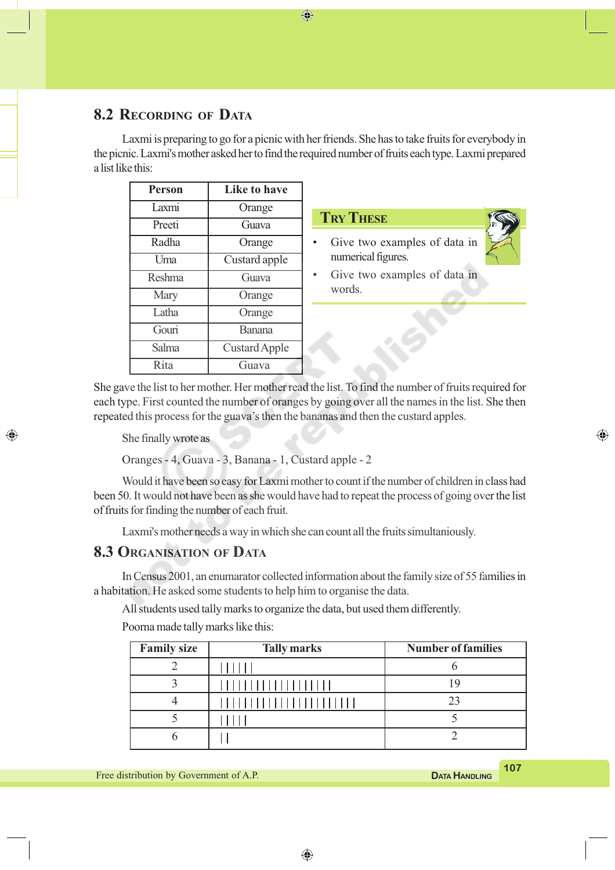# **8.2 RECORDING OF DATA**

Laxmi is preparing to go for a picnic with her friends. She has to take fruits for everybody in the picnic. Laxmi's mother asked her to find the required number of fruits each type. Laxmi prepared a list like this:

⊕

| <b>Person</b> | Like to have  |
|---------------|---------------|
| I axmi        | Orange        |
| Preeti        | Guava         |
| Radha         | Orange        |
| Uma           | Custard apple |
| Reshma        | Guava         |
| Mary          | Orange        |
| Latha         | Orange        |
| Gouri         | Banana        |
| Salma         | Custard Apple |
| Rita          | Guava         |

| $\mathbf{Tr}\mathbf{Y}\mathbf{T}$ hi | TS. |
|--------------------------------------|-----|
|                                      |     |

Give two examples of data in numerical figures.



⊕

Give two examples of data in words.

She gave the list to her mother. Her mother read the list. To find the number of fruits required for each type. First counted the number of oranges by going over all the names in the list. She then repeated this process for the guava's then the bananas and then the custard apples.

She finally wrote as

◈

Oranges - 4, Guava - 3, Banana - 1, Custard apple - 2

Would it have been so easy for Laxmi mother to count if the number of children in class had been 50. It would not have been as she would have had to repeat the process of going over the list of fruits for finding the number of each fruit.

Laxmi's mother needs a way in which she can count all the fruits simultaniously.

#### **8.3 ORGANISATION OF DATA**

In Census 2001, an enumarator collected information about the family size of 55 families in a habitation. He asked some students to help him to organise the data.

All students used tally marks to organize the data, but used them differently.

Poorna made tally marks like this:

| <b>Family size</b> | <b>Tally marks</b> | <b>Number of families</b> |
|--------------------|--------------------|---------------------------|
|                    |                    |                           |
|                    | ,,,,,,,,,,,,       |                           |
|                    | 1111111111111      |                           |
|                    |                    |                           |
|                    |                    |                           |
|                    |                    |                           |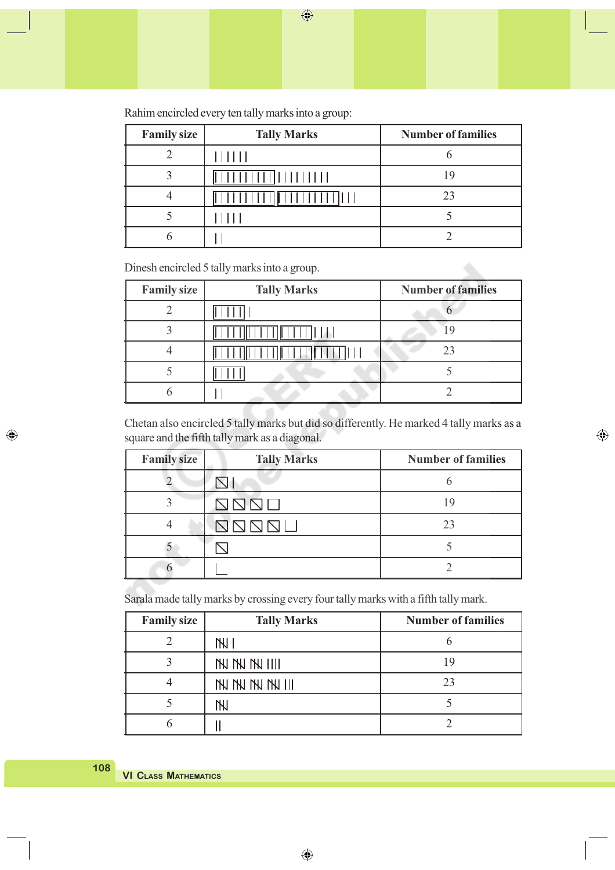$\bigoplus$ 

| Rahim encircled every ten tally marks into a group: |  |  |  |
|-----------------------------------------------------|--|--|--|
|-----------------------------------------------------|--|--|--|

| <b>Family size</b> | <b>Tally Marks</b> | <b>Number of families</b> |
|--------------------|--------------------|---------------------------|
|                    |                    |                           |
|                    | 1111111            | ١q                        |
|                    |                    | 23                        |
|                    |                    |                           |
|                    |                    |                           |

Dinesh encircled 5 tally marks into a group.

| <b>Family size</b> | <b>Tally Marks</b> | <b>Number of families</b> |
|--------------------|--------------------|---------------------------|
|                    |                    |                           |
|                    |                    |                           |
|                    |                    | 23                        |
|                    |                    |                           |
|                    |                    |                           |

Chetan also encircled 5 tally marks but did so differently. He marked 4 tally marks as a square and the fifth tally mark as a diagonal.

 $\bigoplus$ 

| <b>Family size</b> | <b>Tally Marks</b>    | <b>Number of families</b> |
|--------------------|-----------------------|---------------------------|
|                    |                       |                           |
|                    | the state of the con- |                           |
|                    |                       | 23                        |
|                    |                       |                           |
|                    |                       |                           |

Sarala made tally marks by crossing every four tally marks with a fifth tally mark.

| <b>Family size</b> | <b>Tally Marks</b>   | <b>Number of families</b> |
|--------------------|----------------------|---------------------------|
|                    | $\overline{N}$       |                           |
|                    | <b>NN NN NN IIII</b> | ιч                        |
|                    | IN IN IN IN III      | 23                        |
|                    | 'N                   |                           |
| n                  |                      |                           |

◈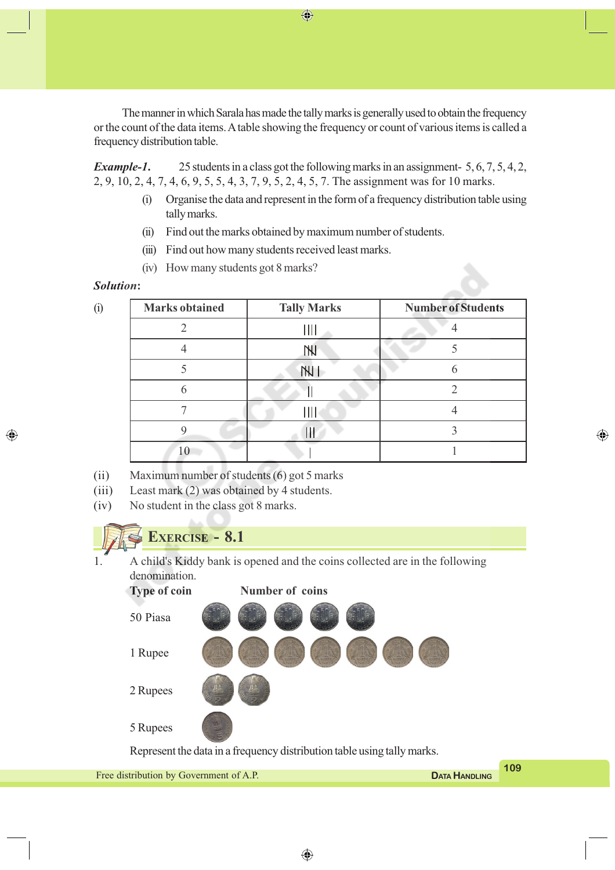The manner in which Sarala has made the tally marks is generally used to obtain the frequency or the count of the data items. A table showing the frequency or count of various items is called a frequency distribution table.

*Example-1***.** 25 students in a class got the following marks in an assignment- 5, 6, 7, 5, 4, 2, 2, 9, 10, 2, 4, 7, 4, 6, 9, 5, 5, 4, 3, 7, 9, 5, 2, 4, 5, 7. The assignment was for 10 marks.

- (i) Organise the data and represent in the form of a frequency distribution table using tally marks.
- (ii) Find out the marks obtained by maximum number of students.
- (iii) Find out how many students received least marks.
- (iv) How many students got 8 marks?

#### *Solution***:**

◈

| $\ddot{\textbf{(i)}}$ | <b>Marks</b> obtained | <b>Tally Marks</b> | <b>Number of Students</b> |
|-----------------------|-----------------------|--------------------|---------------------------|
|                       |                       | ıШ                 |                           |
|                       |                       | <b>TNJ</b>         |                           |
|                       |                       | <b>THI</b>         | h                         |
|                       | 6                     |                    |                           |
|                       |                       |                    |                           |
|                       |                       | ш                  |                           |
|                       | 10                    |                    |                           |

◈

- (ii) Maximum number of students (6) got 5 marks
- (iii) Least mark (2) was obtained by 4 students.
- (iv) No student in the class got 8 marks.



 $\bigoplus$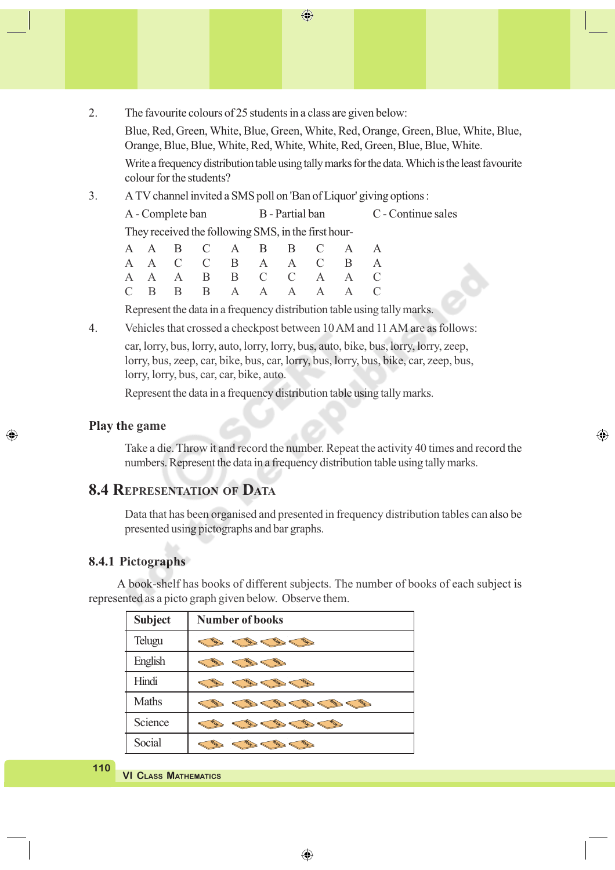- $\bigoplus$
- 2. The favourite colours of 25 students in a class are given below:

Blue, Red, Green, White, Blue, Green, White, Red, Orange, Green, Blue, White, Blue, Orange, Blue, Blue, White, Red, White, White, Red, Green, Blue, Blue, White.

Write a frequency distribution table using tally marks for the data. Which is the least favourite colour for the students?

3. A TV channel invited a SMS poll on 'Ban of Liquor' giving options :

A - Complete ban B - Partial ban C - Continue sales

They received the following SMS, in the first hour-

|  |  | A A B C A B B C A A   |  |  |  |
|--|--|-----------------------|--|--|--|
|  |  | A A C C B A A C B A   |  |  |  |
|  |  | A A A B B C C A A C   |  |  |  |
|  |  | $C$ B B B A A A A A C |  |  |  |

Represent the data in a frequency distribution table using tally marks.

4. Vehicles that crossed a checkpost between 10 AM and 11 AM are as follows:

car, lorry, bus, lorry, auto, lorry, lorry, bus, auto, bike, bus, lorry, lorry, zeep, lorry, bus, zeep, car, bike, bus, car, lorry, bus, lorry, bus, bike, car, zeep, bus, lorry, lorry, bus, car, car, bike, auto.

Represent the data in a frequency distribution table using tally marks.

#### **Play the game**

◈

Take a die. Throw it and record the number. Repeat the activity 40 times and record the numbers. Represent the data in a frequency distribution table using tally marks.

◈

#### **8.4 REPRESENTATION OF DATA**

Data that has been organised and presented in frequency distribution tables can also be presented using pictographs and bar graphs.

#### **8.4.1 Pictographs**

A book-shelf has books of different subjects. The number of books of each subject is represented as a picto graph given below. Observe them.

| <b>Subject</b> | <b>Number of books</b> |
|----------------|------------------------|
| Telugu         |                        |
| English        |                        |
| Hindi          |                        |
| Maths          |                        |
| Science        |                        |
| Social         |                        |

**110**

**VI CLASS MATHEMATICS**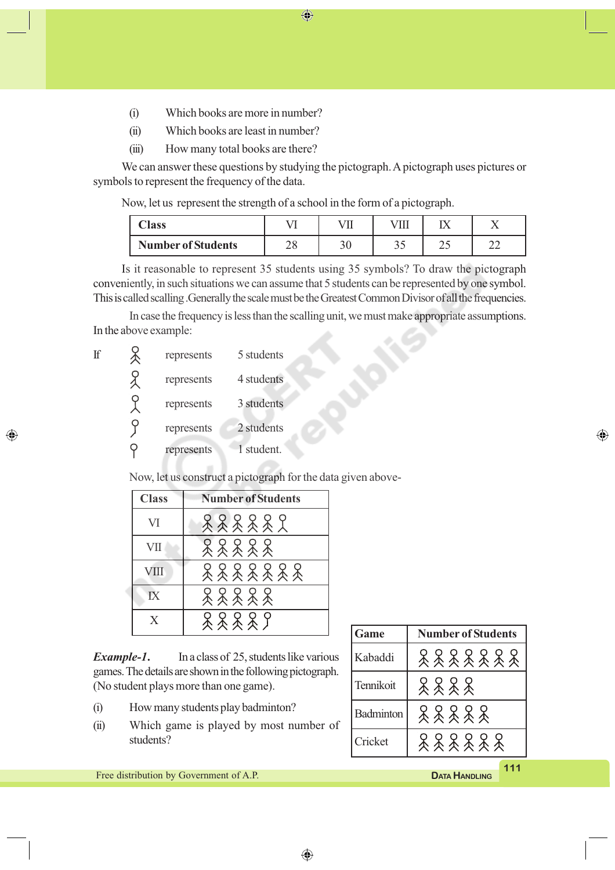$\bigoplus$ 

- (i) Which books are more in number?
- (ii) Which books are least in number?
- (iii) How many total books are there?

We can answer these questions by studying the pictograph. A pictograph uses pictures or symbols to represent the frequency of the data.

Now, let us represent the strength of a school in the form of a pictograph.

| $\bigcap$ ass             | гπ       | $\overline{r}$ |    |     |  |
|---------------------------|----------|----------------|----|-----|--|
| <b>Number of Students</b> | ∩∩<br>∠∪ | υv             | ັັ | ر ت |  |

Is it reasonable to represent 35 students using 35 symbols? To draw the pictograph conveniently, in such situations we can assume that 5 students can be represented by one symbol. This is called scalling .Generally the scale must be the Greatest Common Divisor of all the frequencies.

In case the frequency is less than the scalling unit, we must make appropriate assumptions. In the above example:

| If | represents | 5 students |
|----|------------|------------|
|    | represents | 4 students |
|    | represents | 3 students |
|    | represents | 2 students |
|    | represents | 1 student. |

◈

Now, let us construct a pictograph for the data given above-

| <b>Class</b> | <b>Number of Students</b> |
|--------------|---------------------------|
| VI           | 888882                    |
| VII          | 88888                     |
| <b>VIII</b>  | 8888888                   |
|              | *****                     |
| X            | 2222                      |

*Example-1***.** In a class of 25, students like various games. The details are shown in the following pictograph. (No student plays more than one game).

- (i) How many students play badminton?
- (ii) Which game is played by most number of students?

| Game      | <b>Number of Students</b> |  |  |  |  |
|-----------|---------------------------|--|--|--|--|
| Kabaddi   | 8888888                   |  |  |  |  |
| Tennikoit | 2222                      |  |  |  |  |
| Badminton | 88888                     |  |  |  |  |
| Cricket   | 888888                    |  |  |  |  |

**111** Free distribution by Government of A.P. **DATA DATA HANDLING** 

⊕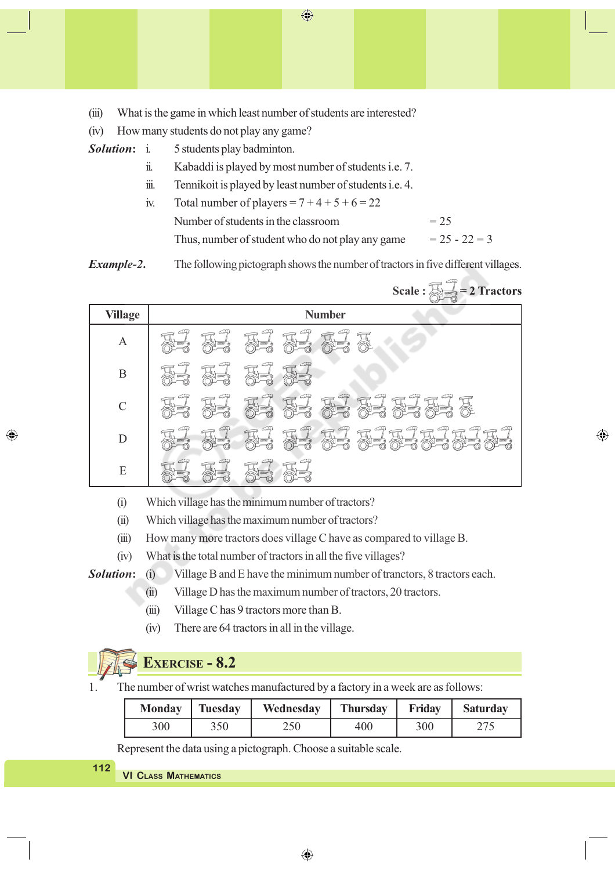(iii) What is the game in which least number of students are interested?

(iv) How many students do not play any game?

- *Solution***:** i. 5 students play badminton.
	- ii. Kabaddi is played by most number of students i.e. 7.
	- iii. Tennikoit is played by least number of students i.e. 4.
	- iv. Total number of players =  $7 + 4 + 5 + 6 = 22$ Number of students in the classroom  $= 25$ Thus, number of student who do not play any game  $= 25 - 22 = 3$

 $\Rightarrow$ 

⊕

*Example-2***.** The following pictograph shows the number of tractors in five different villages.

 $\bigoplus$ 

|                | Scale : $\frac{1}{\sqrt{2}}$ = 2 Tractors                                                                           |
|----------------|---------------------------------------------------------------------------------------------------------------------|
| <b>Village</b> | <b>Number</b>                                                                                                       |
| A              | æ<br><u> 1963</u><br>$\frac{1}{2}$ in the set<br><b>Record</b><br><b>Section</b>                                    |
| $\mathbf B$    | CI <del>P</del><br>CI <del>P</del><br>$C\rightarrow P$<br>$\frac{1}{2}$ in the set<br>$3 = 1$<br><b>Batter</b>      |
| $\mathcal{C}$  | لهنت<br>$\mathcal{L}$<br>لبكت<br>فهتت<br>لمهلق<br>马<br>不要<br>X<br>零<br>$\triangle \equiv$<br><b>Billion</b>         |
| D              | $\mathbb{Z}$<br>æ<br>ELELELET<br>CFQ<br>码<br>CAP<br>Æ<br>$\mathbb{R}^7$<br>$\sqrt{1}$<br><b>Billian</b><br>$5 = 20$ |
| E              | CP S<br>$\bigcirc$<br>CP<br><b>COLLAND</b>                                                                          |

- (i) Which village has the minimum number of tractors?
- (ii) Which village has the maximum number of tractors?
- (iii) How many more tractors does village C have as compared to village B.
- (iv) What is the total number of tractors in all the five villages?

**Solution:** (i) Village B and E have the minimum number of tranctors, 8 tractors each.

- (ii) Village D has the maximum number of tractors, 20 tractors.
- (iii) Village C has 9 tractors more than B.
- (iv) There are 64 tractors in all in the village.

# **EXERCISE - 8.2**

The number of wrist watches manufactured by a factory in a week are as follows:

| <b>Monday</b> | Tuesday | Wednesday | <b>Thursday</b> | Friday | <b>Saturday</b> |
|---------------|---------|-----------|-----------------|--------|-----------------|
| 300           | 350     | 250       | 400             | 300    |                 |

Represent the data using a pictograph. Choose a suitable scale.

**VI CLASS MATHEMATICS 112**

◈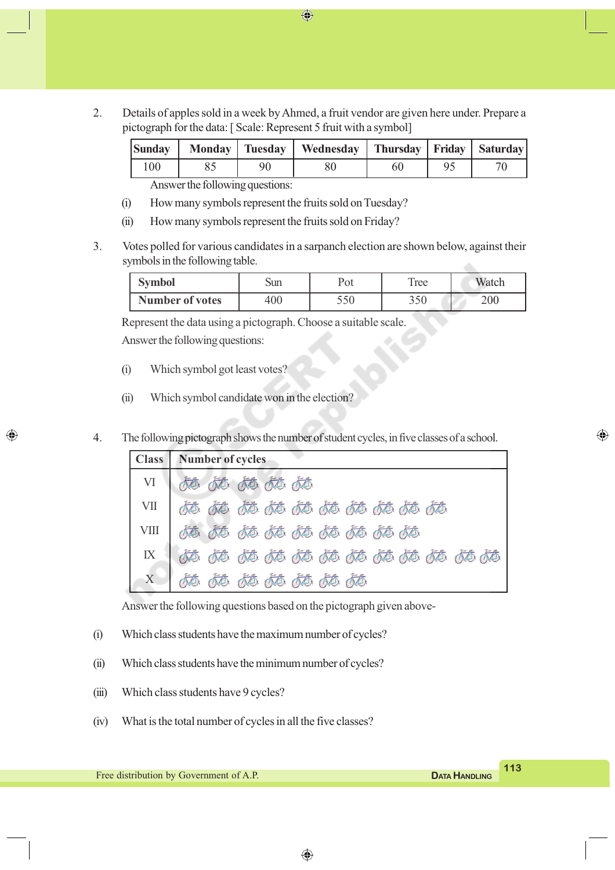2. Details of apples sold in a week by Ahmed, a fruit vendor are given here under. Prepare a pictograph for the data: [ Scale: Represent 5 fruit with a symbol]

 $\bigoplus$ 

|     |    | Sunday   Monday   Tuesday   Wednesday   Thursday   Friday   Saturday |  |  |
|-----|----|----------------------------------------------------------------------|--|--|
| 100 | 90 |                                                                      |  |  |
|     |    |                                                                      |  |  |

Answer the following questions:

- (i) How many symbols represent the fruits sold on Tuesday?
- (ii) How many symbols represent the fruits sold on Friday?
- 3. Votes polled for various candidates in a sarpanch election are shown below, against their symbols in the following table.

| <b>Symbol</b>          | Sun | Pot | ree       | Watch |
|------------------------|-----|-----|-----------|-------|
| <b>Number of votes</b> | 400 | JJU | つよい<br>UU | 200   |

Represent the data using a pictograph. Choose a suitable scale. Answer the following questions:

(i) Which symbol got least votes?

◈

- (ii) Which symbol candidate won in the election?
- 4. The following pictograph shows the number of student cycles, in five classes of a school.

|    | Class   Number of cycles       |
|----|--------------------------------|
| VI | do do do do do                 |
|    |                                |
|    |                                |
|    |                                |
|    | <u>to to to to to to to to</u> |

Answer the following questions based on the pictograph given above-

- (i) Which class students have the maximum number of cycles?
- (ii) Which class students have the minimum number of cycles?
- (iii) Which class students have 9 cycles?
- (iv) What is the total number of cycles in all the five classes?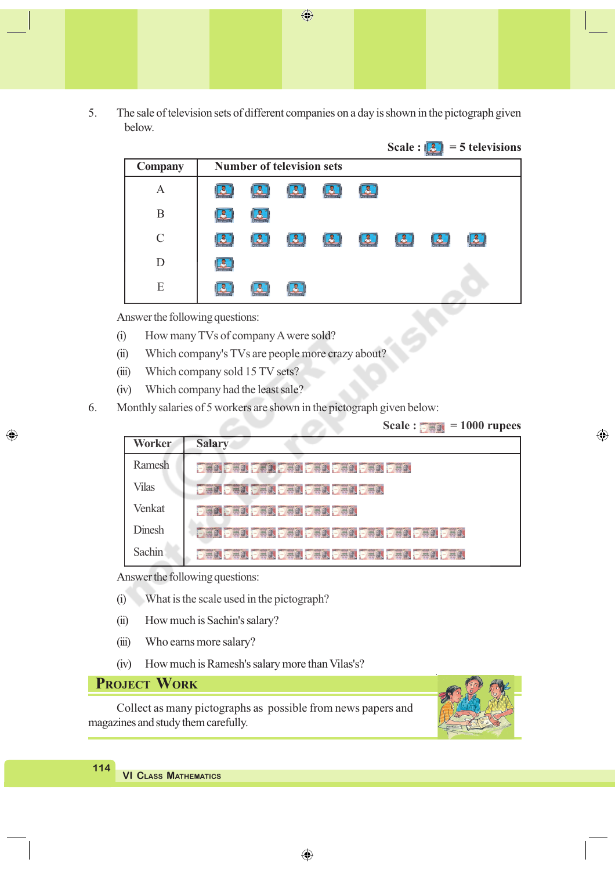5. The sale of television sets of different companies on a day is shown in the pictograph given below.

 $\bigoplus$ 

|           |                                  | Scale : $\boxed{3}$ = 5 televisions |
|-----------|----------------------------------|-------------------------------------|
| Company   | <b>Number of television sets</b> |                                     |
| Α         | Æ<br>A<br>Lä<br>۳                |                                     |
| B         | ሌ                                |                                     |
| $\subset$ | B<br>$\mathbb{R}$<br>р,<br>گ     | Д                                   |
| D         |                                  |                                     |
| E         |                                  |                                     |

Answer the following questions:

- (i) How many TVs of company A were sold?
- (ii) Which company's TVs are people more crazy about?
- (iii) Which company sold 15 TV sets?
- (iv) Which company had the least sale?
- 6. Monthly salaries of 5 workers are shown in the pictograph given below:

|  |  |  | Scale : $\frac{1}{2}$ = 1000 rupees |  |
|--|--|--|-------------------------------------|--|
|--|--|--|-------------------------------------|--|

⊕

| <b>Worker</b> | <b>Salary</b>                          |
|---------------|----------------------------------------|
| Ramesh        | <b>DAR DAR DAR DAR DAR DAR DAR DAR</b> |
| Vilas         | <b>Pear Pear Pear Pear Pear Pear</b>   |
| Venkat        | <b>Bad Bad Bad Bad Bad Bad</b>         |
| <b>Dinesh</b> |                                        |
| <b>Sachin</b> |                                        |

œ

Answer the following questions:

- (i) What is the scale used in the pictograph?
- (ii) How much is Sachin's salary?
- (iii) Who earns more salary?
- (iv) How much is Ramesh's salary more than Vilas's?

### **PROJECT WORK**

**114**

◈

Collect as many pictographs as possible from news papers and magazines and study them carefully.

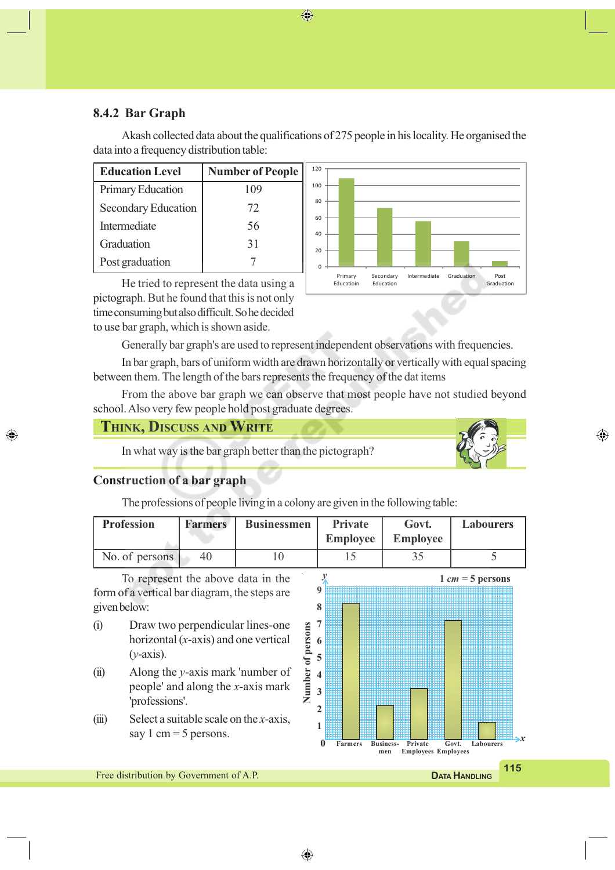#### **8.4.2 Bar Graph**

Akash collected data about the qualifications of 275 people in his locality. He organised the data into a frequency distribution table:

| <b>Education Level</b> | <b>Number of People</b> |  |
|------------------------|-------------------------|--|
| Primary Education      | 109                     |  |
| Secondary Education    | 72                      |  |
| Intermediate           | 56                      |  |
| Graduation             | 31                      |  |
| Post graduation        |                         |  |

He tried to represent the data using a pictograph. But he found that this is not only time consuming but also difficult. So he decided to use bar graph, which is shown aside.



Generally bar graph's are used to represent independent observations with frequencies.

In bar graph, bars of uniform width are drawn horizontally or vertically with equal spacing between them. The length of the bars represents the frequency of the dat items

From the above bar graph we can observe that most people have not studied beyond school. Also very few people hold post graduate degrees.

#### **THINK, DISCUSS AND WRITE**

In what way is the bar graph better than the pictograph?

⊕

*x*

#### **Construction of a bar graph**

◈

The professions of people living in a colony are given in the following table:

| <b>Profession</b> | <b>Farmers</b> | <b>Businessmen</b> | <b>Private</b><br><b>Employee</b> | Govt.<br><b>Employee</b> | <b>Labourers</b> |
|-------------------|----------------|--------------------|-----------------------------------|--------------------------|------------------|
| No. of persons    | 40             |                    |                                   |                          |                  |

◈

To represent the above data in the form of a vertical bar diagram, the steps are given below:

- (i) Draw two perpendicular lines-one horizontal (*x*-axis) and one vertical (*y*-axis).
- (ii) Along the *y*-axis mark 'number of people' and along the *x*-axis mark 'professions'.
- (iii) Select a suitable scale on the *x*-axis, say 1 cm  $=$  5 persons.



**115 DATA HDATA HANDLING**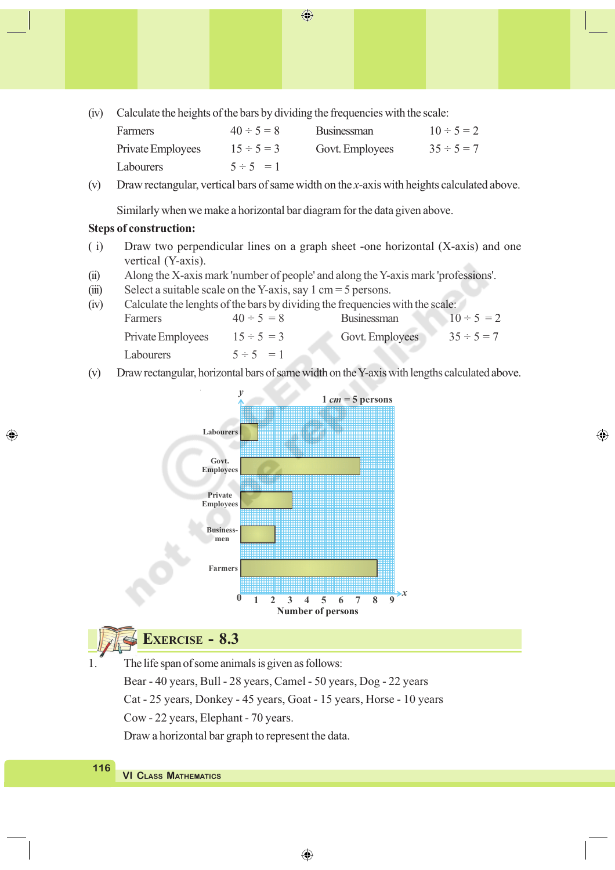(iv) Calculate the heights of the bars by dividing the frequencies with the scale:

| Farmers           | $40 \div 5 = 8$ | <b>Businessman</b> | $10 \div 5 = 2$ |
|-------------------|-----------------|--------------------|-----------------|
| Private Employees | $15 \div 5 = 3$ | Govt. Employees    | $35 \div 5 = 7$ |
| Labourers         | $5 \div 5 = 1$  |                    |                 |

 $\bigoplus$ 

(v) Draw rectangular, vertical bars of same width on the *x*-axis with heights calculated above.

Similarly when we make a horizontal bar diagram for the data given above.

#### **Steps of construction:**

◈

- ( i) Draw two perpendicular lines on a graph sheet -one horizontal (X-axis) and one vertical (Y-axis).
- (ii) Along the X-axis mark 'number of people' and along the Y-axis mark 'professions'.
- (iii) Select a suitable scale on the Y-axis, say 1 cm = 5 persons.
- (iv) Calculate the lenghts of the bars by dividing the frequencies with the scale: Farmers  $40 \div 5 = 8$  Businessman  $10 \div 5 = 2$ Private Employees  $15 \div 5 = 3$  Govt. Employees  $35 \div 5 = 7$ Labourers  $5 \div 5 = 1$
- (v) Draw rectangular, horizontal bars of same width on the Y-axis with lengths calculated above.

⊕



# **EXERCISE - 8.3**

The life span of some animals is given as follows: Bear - 40 years, Bull - 28 years, Camel - 50 years, Dog - 22 years Cat - 25 years, Donkey - 45 years, Goat - 15 years, Horse - 10 years Cow - 22 years, Elephant - 70 years. Draw a horizontal bar graph to represent the data.